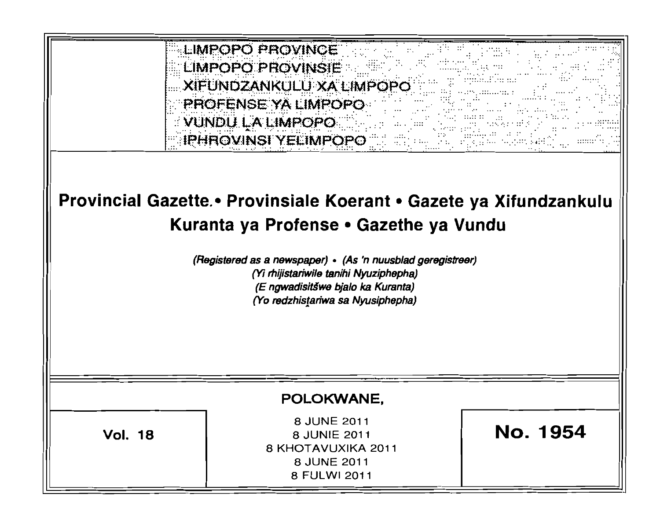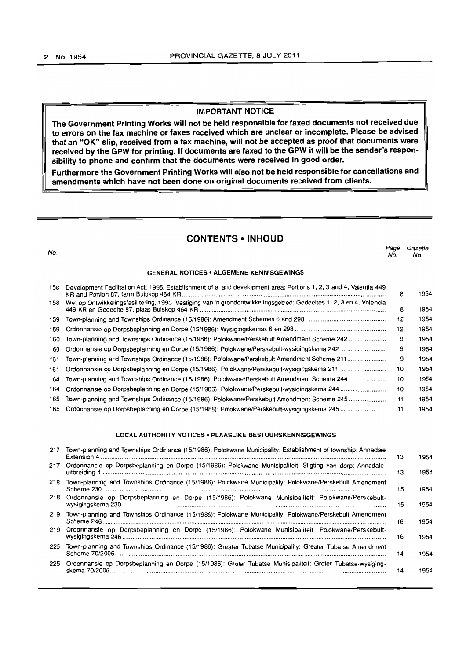#### **IMPORTANT NOTICE**

**The Government Printing Works will not be held responsible for faxed documents not received due to errors on the fax machine or faxes received which are unclear or incomplete. Please be advised that an "OK" slip, received from a fax machine, will not be accepted as proof that documents were received by the GPW for printing. If documents are faxed to the GPW it will be the sender's responsibility to phone and confirm that the documents were received in good order.** 

**Furthermore the Government Printing Works will also not be held responsible for cancellations and amendments which have not been done on original documents received from clients.** 

# **CONTENTS • INHOUD**

nd and the control of the control of the control of the control of the control of the control of the control of the control of the control of the control of the control of the control of the control of the control of the c

No. No.

| <b>GENERAL NOTICES • ALGEMENE KENNISGEWINGS</b> |                                                                                                                     |    |      |  |  |  |
|-------------------------------------------------|---------------------------------------------------------------------------------------------------------------------|----|------|--|--|--|
| 158                                             | Development Facilitation Act, 1995: Establishment of a land development area: Portions 1, 2, 3 and 4, Valentia 449  | 8  | 1954 |  |  |  |
| 158                                             | Wet op Ontwikkelingsfasilitering, 1995: Vestiging van 'n grondontwikkelingsgebied: Gedeeltes 1, 2, 3 en 4, Valencia | 8  | 1954 |  |  |  |
| 159                                             |                                                                                                                     | 12 | 1954 |  |  |  |
| 159                                             |                                                                                                                     | 12 | 1954 |  |  |  |
| 160                                             | Town-planning and Townships Ordinance (15/1986): Polokwane/Perskebult Amendment Scheme 242                          | 9  | 1954 |  |  |  |
| 160                                             | Ordonnansie op Dorpsbeplanning en Dorpe (15/1986): Polokwane/Perskebult-wysigingskema 242                           | 9  | 1954 |  |  |  |
| 161                                             | Town-planning and Townships Ordinance (15/1986): Polokwane/Perskebult Amendment Scheme 211                          | 9  | 1954 |  |  |  |
| 161                                             |                                                                                                                     | 10 | 1954 |  |  |  |
| 164                                             | Town-planning and Townships Ordinance (15/1986): Polokwane/Perskebult Amendment Scheme 244                          | 10 | 1954 |  |  |  |
| 164                                             | Ordonnansie op Dorpsbeplanning en Dorpe (15/1986): Polokwane/Perskebult-wysigingskema 244                           | 10 | 1954 |  |  |  |
| 165                                             | Town-planning and Townships Ordinance (15/1986): Polokwane/Perskebult Amendment Scheme 245                          | 11 | 1954 |  |  |  |
| 165                                             |                                                                                                                     | 11 | 1954 |  |  |  |

# **LOCAL AUTHORITY NOTICES· PLAASLIKE BESTUURSKENNISGEWINGS**

| 217 | Town-planning and Townships Ordinance (15/1986): Polokwane Municipality: Establishment of township: Annadale  | 13 | 1954 |
|-----|---------------------------------------------------------------------------------------------------------------|----|------|
|     | 217 Ordonnansie op Dorpsbeplanning en Dorpe (15/1986): Polokwane Munisipaliteit: Stigting van dorp: Annadale- | 13 | 1954 |
| 218 | Town-planning and Townships Ordinance (15/1986): Polokwane Municipality: Polokwane/Perskebult Amendment       | 15 | 1954 |
|     | 218 Ordonnansie op Dorpsbeplanning en Dorpe (15/1986): Polokwane Munisipaliteit: Polokwane/Perskebult-        | 15 | 1954 |
| 219 | Town-planning and Townships Ordinance (15/1986): Polokwane Municipality: Polokwane/Perskebult Amendment       | 16 | 1954 |
|     | 219 Ordonnansie op Dorpsbeplanning en Dorpe (15/1986): Polokwane Munisipaliteit: Polokwane/Perskebult-        | 16 | 1954 |
| 225 | Town-planning and Townships Ordinance (15/1986): Greater Tubatse Municipality: Greater Tubatse Amendment      | 14 | 1954 |
| 225 | Ordonnansie op Dorpsbeplanning en Dorpe (15/1986): Groter Tubatse Munisipaliteit: Groter Tubatse-wysiging-    | 14 | 1954 |
|     |                                                                                                               |    |      |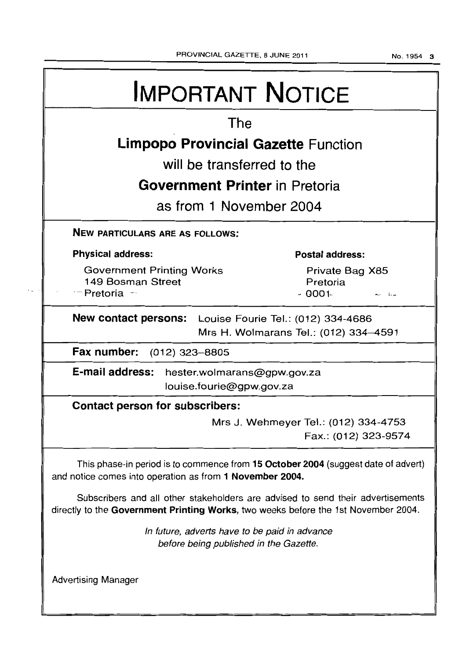# IMPORTANT NOTICE The **Limpopo Provincial Gazette** Function will be transferred to the **Government Printer** in Pretoria as from 1 November 2004 NEW PARTICULARS ARE AS FOLLOWS: Physical address: Government Printing Works 149 Bosman Street Postal address: Private Bag X85 Pretoria .... Pretoria .... - 0001·· ~., ;'" New contact persons: Louise Fourie Tel.: (012) 334-4686 Mrs H. Wolmarans Tel.: (012) 334-4591 Fax number: (012) 323-8805 E-mail address: hester.wolmarans@gpw.gov.za louise.fourie@gpw.gov.za Contact person for subscribers: Mrs J. Wehmeyer Tel.: (012) 334-4753 Fax.: (012) 323-9574 This phase-in period is to commence from 15 October 2004 (suggest date of advert) and notice comes into operation as from 1 November 2004. Subscribers and all other stakeholders are advised to send their advertisements directly to the Government Printing Works, two weeks before the 1st November 2004. Advertising Manager In future, adverts have to be paid in advance before being published in the Gazette.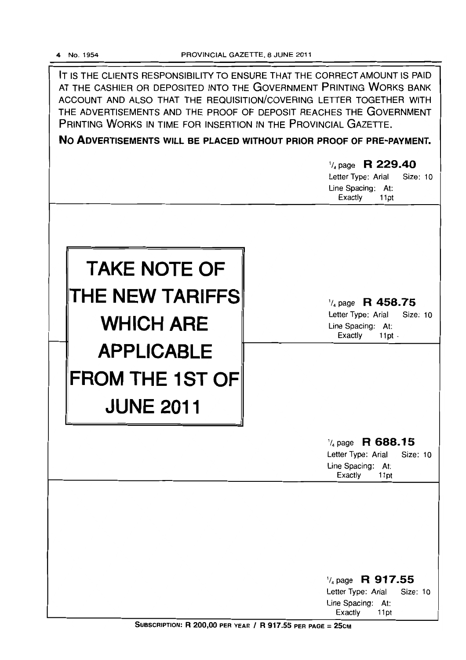IT IS THE CLIENTS RESPONSIBILITY TO ENSURE THAT THE CORRECT AMOUNT IS PAID AT THE CASHIER OR DEPOSITED INTO THE GOVERNMENT PRINTING WORKS BANK ACCOUNT AND ALSO THAT THE REQUISITION/COVERING LETTER TOGETHER WITH THE ADVERTISEMENTS AND THE PROOF OF DEPOSIT REACHES THE GOVERNMENT PRINTING WORKS IN TIME FOR INSERTION IN THE PROVINCIAL GAZETTE.

**No ADVERTISEMENTS WILL BE PLACED WITHOUT PRIOR PROOF OF PRE-PAYMENT.** 

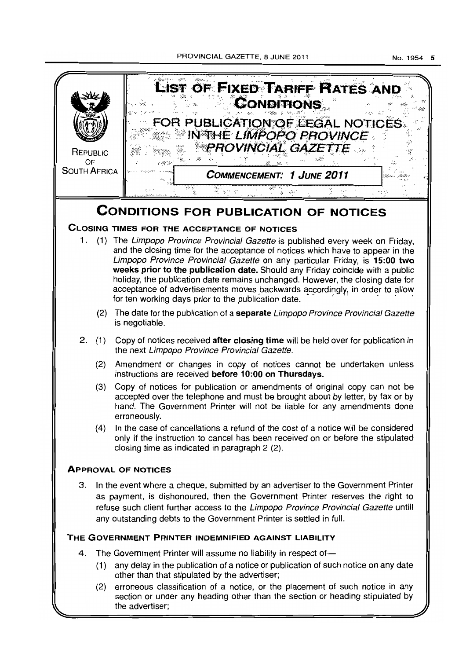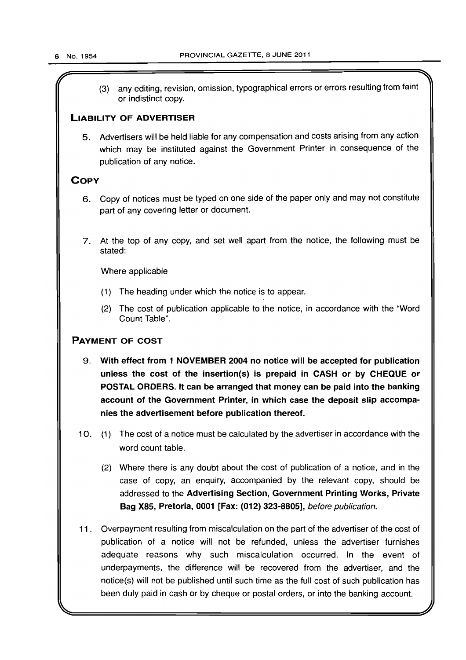(3) any editing, revision, omission, typographical errors or errors resulting from faint or indistinct copy.

# LIABILITY OF ADVERTISER

5. Advertisers will be held liable for any compensation and costs arising from any action which may be instituted against the Government Printer in consequence of the publication of any notice.

# **COPY**

- 6. Copy of notices must be typed on one side of the paper only and may not constitute part of any covering letter or document.
- 7. At the top of any copy, and set well apart from the notice, the following must be stated:

Where applicable

- $(1)$  The heading under which the notice is to appear.
- (2) The cost of publication applicable to the notice, in accordance with the "Word Count Table".

# PAYMENT OF COST

- 9. With effect from 1 NOVEMBER 2004 no notice will be accepted for publication unless the cost of the insertion(s) is prepaid in CASH or by CHEQUE or POSTAL ORDERS. It can be arranged that money can be paid into the banking account of the Government Printer, in which case the deposit slip accompanies the advertisement before publication thereof.
- 10. (1) The cost of a notice must be calculated by the advertiser in accordance with the word count table.
	- (2) Where there is any doubt about the cost of publication of a notice, and in the case of copy, an enquiry, accompanied by the relevant copy, should be addressed to the Advertising Section, Government Printing Works, Private Bag X85, Pretoria, 0001 [Fax: (012) 323-8805], before publication.
- 11. Overpayment resulting from miscalculation on the part of the advertiser of the cost of publication of a notice will not be refunded, unless the advertiser furnishes adequate reasons why such miscalculation occurred. In the event of underpayments, the difference will be recovered from the advertiser, and the notice(s) will not be published until such time as the full cost of such publication has been duly paid in cash or by cheque or postal orders, or into the banking account.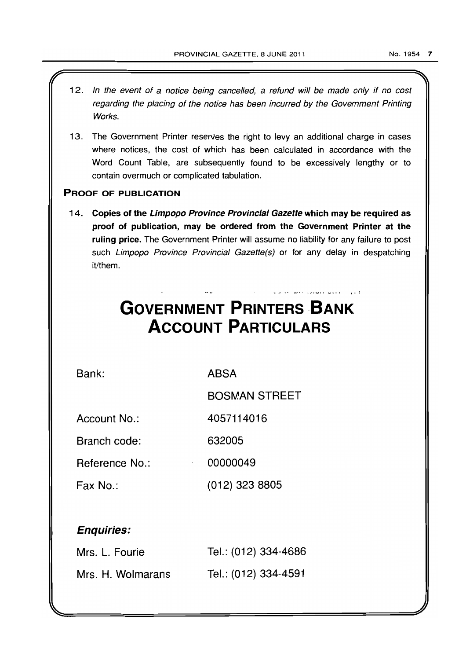- 12. In the event of a notice being cancelled, a refund will be made only if no cost regarding the placing of the notice has been incurred by the Government Printing Works.
- 13. The Government Printer reserves the right to levy an additional charge in cases where notices, the cost of which has been calculated in accordance with the Word Count Table, are subsequently found to be excessively lengthy or to contain overmuch or complicated tabulation.

# PROOF OF PUBLICATION

14. Copies of the Limpopo Province Provincial Gazette which may be required as proof of publication, may be ordered from the Government Printer at the ruling price. The Government Printer will assume no liability for any failure to post such Limpopo Province Provincial Gazette(s) or for any delay in despatching it/them.

# **GOVERNMENT PRINTERS BANK ACCOUNT PARTICULARS**

Bank:

ABSA

BOSMAN STREET

- ,.., •• ~ *'1'''''* • "''' ...... \_.,. \ • ,:

Account No.: 4057114016

Branch code: 632005

Reference No.: 00000049

Fax No.: (012) 323 8805

# Enquiries:

| Mrs. L. Fourie    | Tel.: (012) 334-4686 |
|-------------------|----------------------|
| Mrs. H. Wolmarans | Tel.: (012) 334-4591 |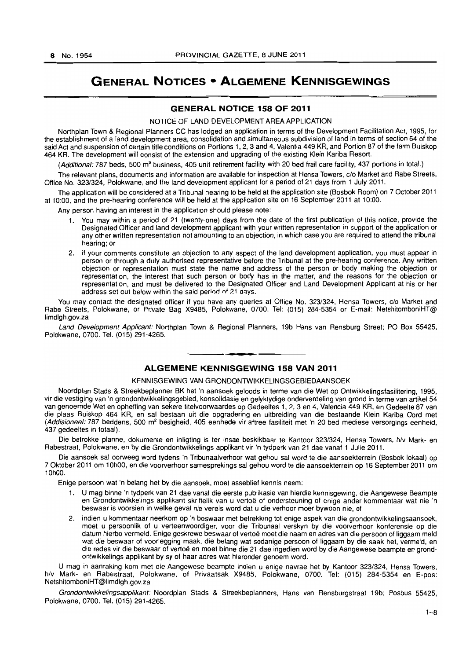# **GENERAL NOTICES • ALGEMENE KENNISGEWINGS**

#### **GENERAL NOTICE 158 OF 2011**

#### NOTICE OF LAND DEVELOPMENT AREA APPLICATION

Northplan Town & Regional Planners CC has lodged an application in terms of the Development Facilitation Act, 1995, for the establishment of a land development area, consolidation and simultaneous subdivision of land in terms of section 54 of the said Act and suspension of certain title conditions on Portions 1, 2, 3 and 4, Valentia 449 KR, and Portion 87 of the farm Buiskop 464 KR. The development will consist of the extension and upgrading of the existing Klein Kariba Resort.

(Additional: 787 beds, 500 m<sup>2</sup> business, 405 unit retirement facility with 20 bed frail care facility, 437 portions in total.)

The relevant plans, documents and information are available for inspection at Hensa Towers, c/o Market and Rabe Streets, Office No. 323/324, Polokwane, and the land development applicant for a period of 21 days from 1 July 2011.

The application will be considered at a Tribunal hearing to be held at the application site (Bosbok Room) on 7 October 2011 at 10:00, and the pre-hearing conference will be held at the application site on 16 September 2011 at 10;00.

Any person having an interest in the application should please note:

- You may within a period of 21 (twenty-one) days from the date of the first publication of this notice, provide the Designated Officer and land development applicant with your written representation in support of the application or any other written representation not amounting to an objection, in which case you are required to attend the tribunal hearing; or
- 2. if your comments constitute an objection to any aspect of the land development application, you must appear in person or through a duly authorised representative before the Tribunal at the pre-hearing conference. Any written objection or representation must state the name and address of the person or body making the objection or representation, the interest that such person or body has in the matter, and the reasons for the objection or representation, and must be delivered to the DeSignated Officer and Land Development Applicant at his or her address set out below within the said period of 21 days.

You may contact the designated officer if you have any queries at Office No. 323/324, Hensa Towers, c/o Market and Rabe Streets, Polokwane, or Private Bag X9485, Polokwane, 0700. Tel: (015) 284-5354 or E-mail: NetshitomboniHT@ limdlgh.gov.za

Land Development Applicant: Northplan Town & Regional Planners, 19b Hans van Rensburg Street; PO Box 55425, Polokwane, 0700. Tel. (015) 291-4265.

## **ALGEMENE KENNISGEWING 158 VAN 2011**

**I •** 

#### KENNISGEWING VAN GRONDONTWIKKELINGSGEBIEDAANSOEK

Noordplan Stads & Streekbeplanner BK het 'n aansoek geloods in terme van die Wet op Ontwikkelingsfasilitering, 1995, vir die vestiging van 'n grondontwikkelingsgebied, konsolidasie en gelyktydige onderverdeling van grond in terme van artikel 54 van genoemde Wet en opheffing van sekere titelvoorwaardes op Gedeeltes 1, 2, 3 en 4, Valencia 449 KR, en Gedeelte 87 van die plaas Buiskop 464 KR, en sal bestaan uit die opgradering en uitbreiding van die bestaande Klein Kariba Oord met (Addisioneel: 787 beddens, 500 m<sup>2</sup>besigheid, 405 eenhede vir aftree fasiliteit met 'n 20 bed mediese versorgings eenheid, 437 gedeeltes in totaal).

Die betrokke planne, dokumente en inligting is ter insae beskikbaar te Kantoor 323/324, Hensa Towers, h/v Mark- en Rabestraat. Polokwane, en by die Grondontwikkelings applikant vir 'n tydperk van 21 dae vanaf 1 Julie 2011.

Die aansoek sal oorweeg word tydens 'n Tribunaalverhoor wat gehou sal word te die aansoekterrein (Bosbok lokaal) op 7 Oktober 2011 om 10hOO, en die voorverhoor samesprekings sal gehou word te die aansoekterrein op 16 September 2011 om 10hOO.

Enige persoon wat 'n belang het by die aansoek, moet asseblief kennis neem:

- 1. U mag binne 'n tydperk van 21 dae vanaf die eerste publikasie van hierdie kennisgewing, die Aangewese Beampte en Grondontwikkelings applikant skriftelik van u vertoe of ondersteuning of enige ander kommentaar wat nie 'n beswaar is voorsien in welke geval nie vereis word dat u die verhoor moer bywoon nie, of
- 2. indien u kommentaar neerkom op 'n beswaar met betrekking tot enige aspek van die grondontwikkelingsaansoek, moet u persoonlik of u verteenwoordiger, voor die Tribunaal verskyn by die voorverhoor konferensie op die datum hierbo vermeld. Enige geskrewe beswaar of vertoe moet die naam en adres van die persoon of liggaam meld wat die beswaar of voorlegging maak, die belang wat sodanige persoon of liggaam by die saak het, vermeld, en die redes vir die beswaar of vertoë en moet binne die 21 dae ingedien word by die Aangewese beampte en grondontwikkelings applikant by sy of haar adres wat hieronder genoem word.

U mag in aanraking kom met die Aangewese beampte indien u enige navrae het by Kantoor 323/324, Hensa Towers, hlv Mark- en Rabestraat, Polokwane, of Privaatsak X9485, Polokwane, 0700. Tel: (015) 284-5354 en E-pos: NetshitomboniHT@limdlgh.gov.za

Grondontwikkelingsapplikant: Noordplan Stads & Streekbeplanners, Hans van Rensburgstraat 19b; Posbus 55425, Polokwane, 0700. Tel. (015) 291-4265.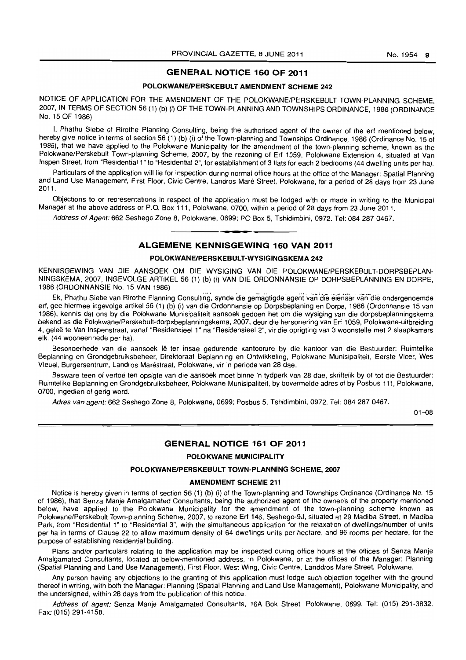#### **GENERAL NOTICE 160 OF 2011**

#### **POLOKWANElPERSKEBUlT AMENDMENT SCHEME 242**

NOTICE OF APPLICATION FOR THE AMENDMENT OF THE POLOKWANE/PERSKEBULT TOWN-PLANNING SCHEME. 2007, IN TERMS OF SECTION 56 (1) (b) (i) OF THE TOWN-PLANNING AND TOWNSHIPS ORDINANCE. 1986 (ORDINANCE No. 15 OF 1986)

I, Phathu Siebe of Rirothe Planning Consulting. being the authorised agent of the owner of the ert mentioned below, hereby give notice in terms of section 56 (1) (b) (i) of the Town-planning and Townships Ordinance. 1986 (Ordinance No. 15 of 1986). that we have applied to the Polokwane Municipality tor the amendment of the town-planning scheme, known as the Polokwane/Perskebult Town-planning Scheme, 2007, by the rezoning ot Ert 1059, Polokwane Extension 4, situated at Van Inspen Street, from "Residential 1" to "Residential 2", for establishment ot 3 flats tor each 2 bedrooms (44 dwelling units per hal.

Particulars of the application will lie for inspection during normal office hours at the office of the Manager: Spatial Planning and Land Use Management, First Floor, Civic Centre, Landros Mare Street, Polokwane, for a period of 28 days from 23 June 2011.

Objections to or representations in respect of the application must be lodged with or made in writing to the Municipal Manager at the above address or P.O. Box 111, Polokwane, 0700, within a period of 28 days from 23 June 2011.

Address of Agent: 662 Seshego Zone 8, Polokwane, 0699; PO Box 5, Tshidimbini, 0972. Tel: 084 287 0467.

# **ALGEMENE KENNISGEWING 160 VAN 2011**

#### **POLOKWANEIPERSKEBULT-WYSIGINGSKEMA 242**

KENNISGEWING VAN DIE AANSOEK OM DIE WYSIGING VAN DIE POLOKWANE/PERSKEBULT-DORPSBEPLAN-NINGSKEMA, 2007, INGEVOLGE ARTIKEL 56 (1) (b) (i) VAN DIE ORDONNANSIE OP DORPSBEPLANNING EN DORPE, 1986 (ORDONNANSIE No. 15 VAN 1986)

Ek, Phathu Siebe van Rirothe Planning Consulting, synde die gemagtigde 'ageni'van'dfeeienaarvari-die ondergenoemde erf, gee hiermee ingevolge artikel 56 (1) (b) (i) van die Ordonnansie op Dorpsbeplaning en Dorpe, 1986 (Ordonnansie 15 van 1986), kennis dat ons by die Polokwane Munisipaliteit aansoek gedoen het om die wysiging van die dorpsbeplanningskema bekend as die Polokwane/Perskebult-dorpsbeplanningskema, 2007, deur die hersonering van Ert 1059, Polokwane-uitbreiding 4. galee te Van Inspenstraat, vanaf "Residensieel 1" na "Residensieel 2", vir die oprigting van 3 woonstelle met 2 slaapkamers elk. (44 wooneenhede per hal.

Besonderhede van die aansoek lê ter insae gedurende kantoorure by die kantoor van die Bestuurder: Ruimtelike Beplanning en Grondgebruiksbeheer, Direktoraat Beplanning en Ontwikkeling, Polokwane Munisipaliteit, Eersle Vloer, Wes Vleuel, Burgersentrum, Landros Marestraat, Polokwane, vir 'n periode van 28 dae.

Besware teen of vertoë ten opsigte van die aansoek moet binne 'n tydperk van 28 dae, skriftelik by of tot die Bestuurder: Ruimtelike Beplanning en Grondgebruiksbeheer, Polokwane Munisipaliteit, by bovermelde adres of by Posbus 111. Polokwane, 0700, ingedien of gerig word.

Adres van agent: 662 Seshego Zone 8, Polokwane, 0699; Posbus 5, Tshidimbini, 0972. Tel: 084 287 0467.

 $01 - 08$ 

#### **GENERAL NOTICE 161 OF 2011**

#### **POLOKWANE MUNICIPALITY**

#### **POLOKWANEIPERSKEBULT TOWN-PLANNING SCHEME, 2007**

#### **AMENDMENT SCHEME 211**

Notice is hereby given in terms of section 56 (1) (b) (i) of the Town-planning and Townships Ordinance (Ordinance No. 15 of 1986), that Senza Manje Amalgamated Consultants, being the authorized agent of the owner/s of the property mentioned below, have applied to the Polokwane Municipality for the amendment of the town-planning scheme known as Polokwane/Perskebult Town-planning Scheme, 2007, to rezone Erf 146, Seshego-9J, situated at 29 Madiba Street, in Madiba Park, from "Residential 1" to "Residential 3", with the simultaneous application for the relaxation of dwellings/number of units per ha in terms of Clause 22 to allow maximum density of 64 dwellings units per hectare, and 96 rooms per hectare, for the purpose of establishing residential building.

Plans and/or particulars relating to the application may be inspected during office hours at the offices of Senza Manje Amalgamated Consultants, located at below-mentioned address, in Polokwane, or at the offices of the Manager: Planning (Spatial Planning and Land Use Management), First Floor, West Wing, Civic Centre. Landdros Mare Street, Polokwane.

Any person having any objections to the granting of this application must lodge such objection together with the ground thereof in writing, with both the Manager: Planning (Spatial Planning and Land Use Management), Polokwane Municipality, and the undersigned, within 28 days from the publication of this notice.

Address of agent: Senza Manje Amalgamated Consultants, 16A Bok Street, Polokwane, 0699. Tel: (015) 291-3832. Fax: (015) 291-4158.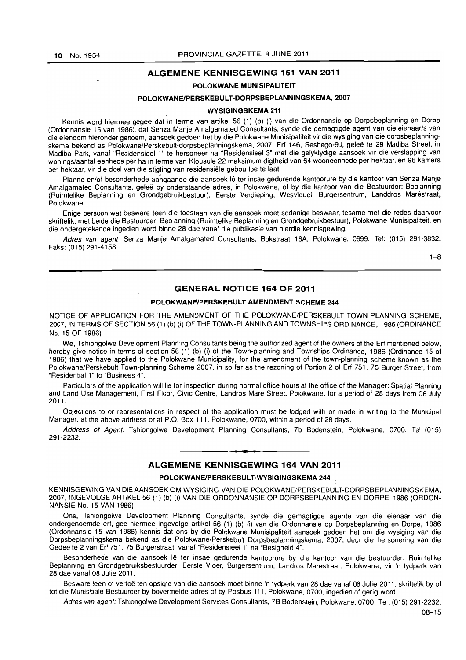#### ALGEMENE KENNISGEWING 161 VAN 2011

#### POLOKWANE MUNISIPALITEIT

#### POLOKWANE/PERSKEBULT-DORPSBEPLANNINGSKEMA, 2007

#### WYSIGINGSKEMA 211

Kennis word hiermee gegee dat in terme van artikel 56 (1) (b) (i) van die Ordonnansie op Dorpsbeplanning en Dorpe (Ordonnansie 15 van 1986), dat Senza Manje Amalgamated Consultants, synde die gemagtigde agent van die eienaar/s van die eiendom hieronder genoem, aansoek gedoen het by die Polokwane Munisipaliteil vir die wysiging van die dorpsbeplanningskema bekend as Polokwane/Perskebult-dorpsbeplanningskema, 2007, Erf 146, Seshego-9J, geleë te 29 Madiba Street, in Madiba Park, vanaf "Residensieel 1" te hersoneer na "Residensieel 3" met die gelyktydige aansoek vir die verslapping van wonings/aantal eenhede per ha in terme van Klousule 22 maksimum digtheid van 64 wooneenhede per hektaar, en 96 kamers per hektaar, vir die doel van die stigting van residensiële gebou toe te laat.

Planne en/of besonderhede aangaande die aansoek lê ter insae gedurende kantoorure by die kantoor van Senza Manje Amalgamated Consultants, geleë by onderstaande adres, in Polokwane, of by die kantoor van die Bestuurder: Beplanning (Ruimtelike Beplanning en Grondgebruikbestuur). Eerste Verdieping, Wesvleuel, Burgersenlrum, Landdros Marestraat, Polokwane.

Enige persoon wat besware teen die toestaan van die aansoek moet sodanige beswaar, tesame met die redes daarvoor skriftelik, met beide die Bestuurder: Beplanning (Ruimtelike Beplanning en Grondgebruikbestuur), Polokwane Munisipaliteit, en die ondergetekende ingedien word binne 28 dae vanat die publikasie van hierdie kennisgewing.

Adres van agent: Senza Manje Amalgamated Consultants, Bokstraat 16A, Polokwane, 0699. Tel: (015) 291-3832. Faks: (015) 291-4158.

 $1 - R$ 

# GENERAL NOTICE 164 OF 2011

#### POLOKWANEIPERSKEBULT AMENDMENT SCHEME 244

NOTICE OF APPLICATION FOR THE AMENDMENT OF THE POlOKWANE/PERSKEBUlT TOWN-PLANNING SCHEME, 2007, IN TERMS OF SECTION 56 (1) (b) (i) OF THE TOWN-PLANNING AND TOWNSHIPS ORDINANCE, 1986 (ORDINANCE No. 15 OF 1986)

We. Tshiongolwe Development Planning Consultants being the authorized agent of the owners of the Erf mentioned below, hereby give notice in terms of section 56 (1) (b) (i) of the Town-planning and Townships Ordinance, 1986 (Ordinance 15 of 1986) that we have applied to the Polokwane Municipality, for the amendment of the town-planning scheme known as the Polokwane/Perskebult Town-planning Scheme 2007, in so far as the rezoning of Portion 2 of Erf 751, 75 Burger Street. from "Residential 1" to "Business 4".

Particulars of the application will lie for inspection during normal office hours at the office of the Manager: Spatial Planning and Land Use Management, First Floor, Civic Centre, Landros Mare Street, Polokwane, for a period of 28 days from 08 July 2011.

Objections to or representations in respect of the application must be lodged with or made in writing to the Municipal Manager, at the above address or at P.O. Box 111, Polokwane, 0700, within a period of 28 days.

Address of Agent: Tshiongolwe Development Planning Consultants, 7b Bodenstein, Polokwane, 0700. Tel: (015) 291-2232.

#### • **- I**  ALGEMENE KENNISGEWING 164 VAN 2011

#### POLOKWANE/PERSKEBULT-WYSIGINGSKEMA 244

KENNISGEWING VAN DIE AANSOEK OM WYSIGING VAN DIE POLOKWANE/PERSKEBULT-DORPSBEPLANNINGSKEMA, 2007, INGEVOLGE ARTIKEL 56 (1) (b) (i) VAN DIE ORDONNANSIE OP DORPSBEPLANNING EN DORPE, 1986 (OR DON-NANSIE No. 15 VAN 1986)

Ons, Tshiongolwe Development Planning Consultants, synde die gemagtigde agente van die eienaar van die ondergenoemde ert, gee hiermee ingevolge artikel 56 (1) (b) (i) van die Ordonnansie op Dorpsbeplanning en Dorpe, 1986 (Ordonnansie 15 van 1986) kennis dat ons by die Polokwane Munisipaliteit aansoek gedoen het om die wysiging van die Dorpsbeplanningskema bekend as die Polokwane/Perskebult Dorpsbeplanningskema, 2007, deur die hersonering van die Gedeelte 2 van Erf 751, 75 Burgerstraat, vanaf "Residensieel 1" na "Besigheid 4".

Besonderhede van die aansoek lê ter insae gedurende kantoorure by die kantoor van die bestuurder: Ruimtelike Beplanning en Grondgebruiksbestuurder, Eerste Vloer, Burgersentrum, landros Marestraat, Polokwane, vir 'n tydperk van 28 dae vanaf 08 Julie 2011.

Besware teen of vertoë ten opsigte van die aansoek moet binne 'n tydperk van 28 dae vanaf 08 Julie 2011, skriftelik by of tot die Munisipale Bestuurder by bovermelde adres of by Posbus 111, Polokwane, 0700, ingedien of gerig word.

Adres van agent: Tshiongolwe Development Services Consultants, 7B Bodenstein, Polokwane, 0700. Tel: (015) 291-2232.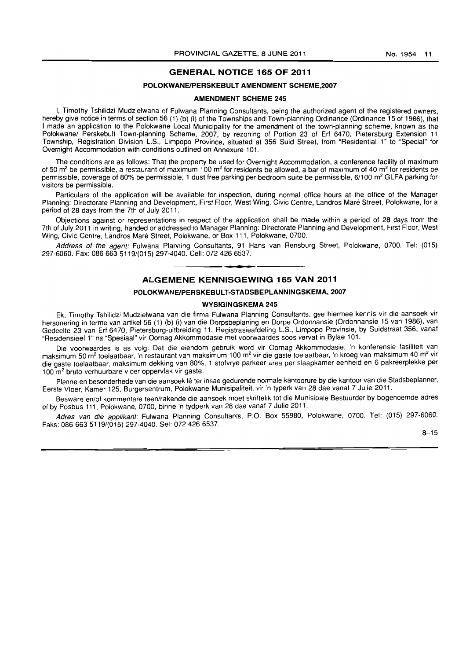#### **GENERAL NOTICE 165 OF 2011**

#### **POLOKWANEIPERSKEBULT AMENDMENT SCHEME,2007**

#### **AMENDMENT SCHEME 245**

I, Timothy Tshilidzi Mudzielwana of Fulwana Planning Consultants, being the authorized agent of the registered owners, hereby give notice in terms of section 56 (1) (b) (i) of the Townships and Town-planning Ordinance (Ordinance 15 of 1986), that I made an application to the Polokwane Local Municipality for the amendment of the town-planning scheme, known as the Polokwane/ Perskebult Town-planning Scheme, 2007, by rezoning of Portion 23 of Erf 6470, Pietersburg Extension 11 Township, Registration Division L.S., Limpopo Province, situated at 356 Suid Street, from "Residential 1" to "Special" for Overnight Accommodation with conditions outlined on Annexure 101.

The conditions are as follows: That the property be used for Overnight Accommodation, a conference facility of maximum of 50  $m^2$  be permissible, a restaurant of maximum 100  $m^2$  for residents be allowed, a bar of maximum of 40  $m^2$  for residents be permissible, coverage of 80% be permissible, 1 dust free parking per bedroom suite be permissible, 6/100 m<sup>2</sup> GLFA parking for visitors be permissible.

Particulars of the application will be available for inspection, during normal office hours at the office of the Manager Planning: Directorate Planning and Development, First Floor, West Wing, Civic Centre, Landros Mare Street, Polokwane, for a period of 28 days from the 7th of July 2011.

Objections against or representations in respect of the application shall be made within a period of 28 days from the 7th of July 2011 in writing, handed or addressed to Manager Planning: Directorate Planning and Development, First Floor, West Wing, Civic Centre, Landros Mare Street, Polokwane, or Box 111, Polokwane, 0700.

Address of the agent: Fulwana Planning Consultants, 91 Hans van Rensburg Street, Polokwane, 0700. Tel: (015) 297-6060. Fax: 086 6635119/(015) 297·4040. Cell: 072 426 6537.

#### **- . ALGEMENE KENNISGEWING 165 VAN 2011**

#### **POLOKWANEIPERSKEBULT-STADSBEPLANNINGSKEMA, 2007**

#### **WYSIGINGSKEMA 245**

Ek, Timothy Tshilidzi Mudzielwana van die firma Fulwana Planning· Consultants, gee hiermee kennis vir die aansoek vir hersonering in terme van artikel 56 (1) (b) (i) van die Dorpsbeplaning en Dorpe Ordonnansie (Ordonnansie 15 van 1986), van Gedeelte 23 van Ert 6470, Pietersburg-uitbreiding 11, Registrasieafdeling L.S., Limpopo Provinsie, by Suidstraat 356, vanaf "Residensieel 1" na "Spesiaal" vir Oornag Akkommodasie met voorwaardes soos vervat in Bylae 101.

Die voorwaardes is as volg: Oat die eiendom gebruik word vir Oornag Akkommodasie, 'n konferensie fasiliteit van maksimum 50 m<sup>2</sup> toelaatbaar, 'n restaurant van maksimum 100 m<sup>2</sup> vir die gaste toelaatbaar, 'n kroeg van maksimum 40 m<sup>2</sup> vir die gaste toelaatbaar, maksimum dekking van 80%, 1 stofvrye parkeer area per slaapkamer eenheid en 6 pakreerplekke per 100 m<sup>2</sup> bruto verhuurbare vloer oppervlak vir gaste.

Planne en besonderhede van die aansoek lê ter insae gedurende normale kantoorure by die kantoor van die Stadsbeplanner, Eersle Vloer, Kamer 125, Burgersentrum, Polokwane Munisipaliteit, vir 'n typerk van 28 dae vanaf 7 Julie 2011.

Besware en/of kommentare teen/rakende die aansoek moet skriftelik tot die Munisipale Bestuurder by bogenoemde adres of by Posbus 111, Polokwane, 0700, binne 'n tydperk van 28 dae vanaf 7 Julie 2011.

Adres van die applikant: Fulwana Planning Consultants, P.O. Box 55980, Polokwane, 0700. Tel: (015) 297-6060. Faks: 086 663 5119/(015) 297-4040. Sel: 072 426 6537.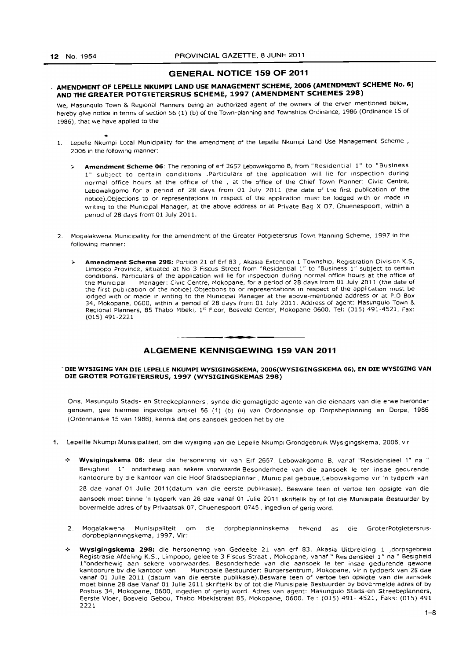#### GENERAL NOTICE 159 OF 2011

# AMENDMENT OF LEPELLE NKUMPI LAND USE MANAGEMENT SCHEME, 2006 (AMENDMENT SCHEME No.6) AND THE GREATER POTGIETERSRUS SCHEME, 1997 (AMENDMENT SCHEMES 298)

We, Masungulo Town & Regional Planners being an authorized agent of the owners of the erven mentioned below, hereby give notice in terms of section 56 (1) (b) of the Town-planning and Townships Ordinance, 1986 (Ordinance 15 of 1986), that we have applied to the

- 1. Lepelle Nkumpi Local Municipality for the amendment of the Lepelle Nkumpi Land Use Management Scheme, 2006 in the following manner:
	- Amendment Scheme 06: The rezoning of erf 2657 Lebowakgomo B, from "Residential 1" to "Business 1" subject to certain conditions .Particulars of the application will lie for Inspection during normal office hours at the office of the , at the office of the Chief Town Planner: Civic Centre, Lebowakgomo for a period of 28 days from 01 July 2011 (the date of the first publication of the notice).Objections to or representations in respect of the application must be lodged With or made In writing to the Municipal Manager, at the above address or at Private Bag X 07. Chuenespoort, within a period of 28 days from 01 July 2011.
- 2. Mogalakwena Municipality for the amendment of the Greater Potgletersrus Town Planning Scheme, 1997 in the following manner:
	- > Amendment Scheme 298: Portion 21 of Erf 83, Akasia Extention 1 Township, Registration Division K.S, Limpopo Province, situated at No 3 Fiscus Street from "Residential 1" to "Business 1" subject to certain conditions. Particulars of the application will lie for inspection during normal office hours at the office of<br>the Municipal Manager: Civic Centre, Mokonage, for a period of 28 days from 01 July 2011 (the date of Manager: Civic Centre, Mokopane, for a period of 28 days from 01 July 2011 (the date of the first publication of the notice). Objections to or representations in respect of the application must be lodged with or made in writing to the Municipal Manager at the above-mentioned address or at P.O Box 34, Mokopane, 0600, Within a penod of 28 days from 01 July 2011. Address of agent: Masungulo Town & Regional Planners, 85 Thabo Mbeki, 1st Floor, Bosveld Center, Mokopane 0600. Tel: (015) 491-4521, Fax: (015) 491-2221

#### • **- I**  ALGEMENE KENNISGEWING 159 VAN 2011

#### - DIE WYSIGING VAN DIE lEPEllE NKUMPI WYSIGINGSKEMA, 2006(WYSIGINGSKEMA 06), EN DIE WYSIGING VAN DIE GROTER POTGIETERSRUS, 1997 (WYSIGINGSKEMAS 298)

Ons. Masungulo Stads- en Streekeplanners , synde die gemagtigde agente van die eienaars van die erwe hleronder genoem, gee hiermee ingevolge artikel 56 (1) (b) (ii) van Ordonnansie op Dorpsbeplanning en Dorpe, 1986 (OrdonnanSle 15 van 1986), kennls dat ons aansoek gedoen het by die

- 1. Lepellle Nkumpi Munisipaliteit, om die wysiging van die Lepelle Nkumpi Grondgebruik Wysigingskema, 2006, vir
	- .:. Wysigingskema 06: deur die hersonenng vir van Erf 2657, lebowakgomo B, vanaf "Residensieel 1" na " Beslgheid I" onderhewig aan sekere voorwaarde.8esonderhede van die aansoek Ie ter insae gedurende kantoorure by die kantoor van die Hoof Stadsbeplanner , Municipal geboue,Lebowakgomo vir 'n Iydperk van 28 dae vanaf 01 Julie 2011 (datum van die eerste publikasie). Besware teen of vertoe ten opsigte van die aansoek moet binne 'n tydperk van 28 dae vanaf 01 Julie 2011 skriftelik by of tot die Munisipale Bestuurder by bovermelde adres of by Privaatsak 07. Chuenespoort, 0745 , ingedien of gerig word.
	- 2. Mogalakwena Munislpaliteit om die dorpbeplanninskema bekend as die GroterPotgictersrusdorpbeplanmngskema, 1997, Vir:
	- .;. Wysigingskema 298: die hersonenng van Gedeelte 21 van erf 83, Akasia Uitbreiding 1 ,dorpsgebreid Registrasie Afdeling K.S., Limpopo, gelee te 3 Fiscus Straat , Mokopane, vanaf " Residensieel 1" na " Besigheid 1 "onderhewig aan sekere voorwaardes. Besonderhede van die aansoek Ie ter insae gedurende gewone kantoorure by die kantoor van Municlpale Bestuurder: Burgersentrum, Mokopane, vir n tydperk van 28 dae vanaf 01 Julie 2011 (datum van die eerste publikasie}.Besware teen of vertoe ten opsigte van die aansoek moet binne 28 dae Vanaf 01 Julie 2011 skriftelik by of tot die Munlsipale Bestuurder by bovermelde adres of by Posbus 34, Mokopane, 0600, ingedien of gerig word. Adres van agent: Masungulo Stads-en Streebeplanners, Eerste Vloer, Bosveld Gebou, Thabo Mbekistraat 85, Mokopane, 0600. Tel: (015) 491- 4521, Faks: (015) 491 2221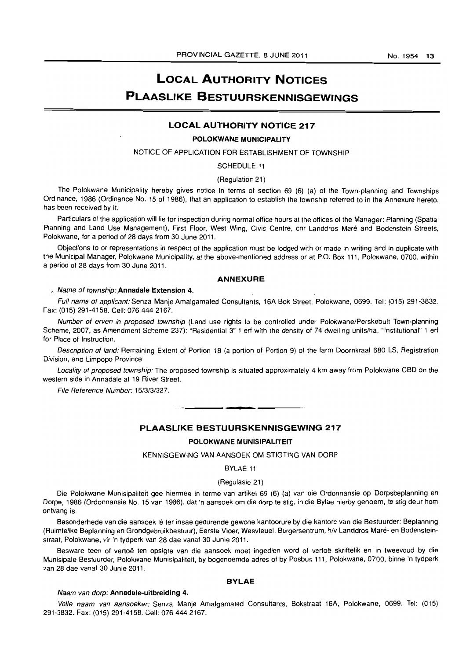# LOCAL AUTHORITY NOTICES PLAASLIKE BESTUURSKENNISGEWINGS

#### LOCAL AUTHORITY NOTICE 217

#### POLOKWANE MUNICIPALITY

#### NOTICE OF APPLICATION FOR ESTABLISHMENT OF TOWNSHIP

SCHEDULE 11

#### (Regulation 21)

The Polokwane Municipality hereby gives notice in terms of section 69 (6) (a) of the Town-planning and Townships Ordinance, 1986 (Ordinance No. 15 of 1986), that an application to establish the township referred to in the Annexure hereto, has been received by it.

Particulars of the application will lie for inspection during normal office hours at the offices of the Manager: Planning (Spatial Planning and Land Use Management), First Floor, West Wing, Civic Centre, cnr Landdros Maré and Bodenstein Streets, Polokwane, for a period of 28 days from 30 June 2011.

Objections to or representations in respect of the application must be lodged with or made in writing and in duplicate with the Municipal Manager, Polokwane Municipality, at the above-mentioned address or at P.O. Box 111, Polokwane. 0700. within a period of 28 days from 30 June 2011.

#### ANNEXURE

#### .. Name of township: Annadale Extension 4.

Full name of applicant: Senza Manje Amalgamated Consultants, 16A Bok Street, Polokwane, 0699. Tel: (015) 291-3832. Fax: (015) 291-4158. Cell: 076 444 2167.

Number of erven in proposed township (Land use rights to be controlled under Polokwane/Perskebult Town-planning Scheme, 2007, as Amendment Scheme 237): "Residential 3" 1 erf with the density of 74 dwelling units/ha, "Institutional" 1 erf for Place of Instruction.

Description of land: Remaining Extent of Portion 18 (a portion of Portion 9) of the farm Doornkraal 680 LS, Registration Division, and Limpopo Province.

Locality of proposed township: The proposed township is situated approximately 4 km away from Polokwane CBD on the western side in Annadale at 19 River Street.

File Reference Number: 15/3/3/327.

#### PLAASLIKE BESTUURSKENNISGEWING 217

**• •** 

#### POLOKWANE MUNISIPALITEIT

KENNISGEWING VAN AANSOEK OM STIGTING VAN DORP

BYLAE 11

#### (Regulasie 21)

Die Polokwane Munisipaliteit gee hiermee in terme van artikel 69 (6) (a) van die Ordonnansie op Dorpsbeplanning en Dorpe, 1986 (Ordonnansie No. 15 van 1986), dat 'n aansoek om die dorp te stig, in die Bylae hierby genoem, te stig deur hom ontvang is.

Besonderhede van die aansoek lê ter insae gedurende gewone kantoorure by die kantore van die Bestuurder: Beplanning (Ruimtelike Beplanning en Grondgebruikbestuur), Eerste Vloer, Wesvleuel, Burgersentrum. hlv Landdros Mare- en Bodensteinstraat, Polokwane, vir 'n tydperk van 28 dae vanaf 30 Junie 2011.

Besware teen of vertoë ten opsigte van die aansoek moet ingedien word of vertoë skriftelik en in tweevoud by die Munisipale Bestuurder, Polokwane Munisipaliteit, by bogenoemde adres of by Posbus 111, Polokwane, 0700, binne 'n tydperk van 28 dae vanaf 30 Junie 2011.

#### BVLAE

#### Naam van dorp: Annadale-uitbreiding 4.

Volfe naam van aansoeker: Senza Manje Amalgamated Consultants, Bokstraat 16A, Polokwane, 0699. Tel: (015) 291-3832. Fax: (015) 291-4158. CeiL 076 444 2167.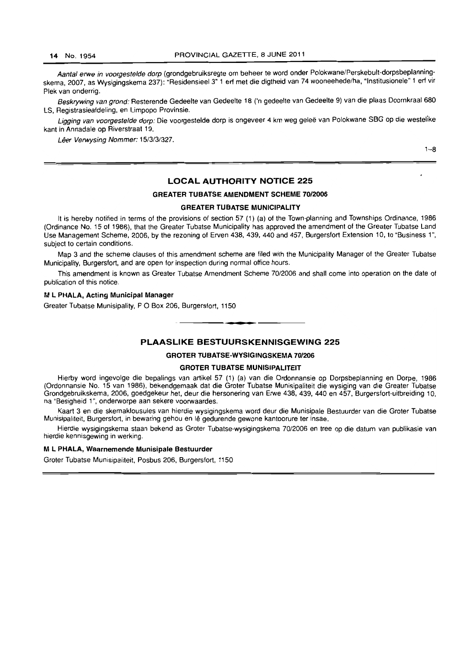Aantal erwe in voorgestelde dorp (grondgebruiksregte om beheer te word onder Polokwane/Perskebult-dorpsbeplanningskema. 2007, as Wysigingskema 237): "Residensieel 3" 1 ert met die digtheid van 74 wooneehede/ha. "Institusionele" 1 ert vir Plek van onderrig.

Beskrywing van grond: Resterende Gedeelte van Gedeelte 18 ('n gedeelte van Gedeelte 9) van die plaas Doornkraal 680 LS, Registrasieafdeling, en Limpopo Provinsie.

Ligging van voorgestelde dorp: Die voorgestelde dorp is ongeveer 4 km weg geleë van Polokwane SBG op die westelike kant in Annadale op Riverstraat 19.

Lêer Verwysing Nommer: 15/3/3/327.

1-8

#### LOCAL AUTHORITY NOTICE 225

#### GREATER TUBATSE AMENDMENT SCHEME 70/2006

#### GREATER TUBATSE MUNICIPALITY

It is hereby notified in terms of the provisions of section 57 (1) (a) of the Town-planning and Townships Ordinance, 1986 (Ordinance No. 15 of 1986), that the Greater Tubatse Municipality has approved the amendment of the Greater Tubatse Land Use Management Scheme. 2006. by the rezoning of Erven 438, 439. 440 and 457. Burgersfort Extension 10, to "Business 1", subject to certain conditions.

Map 3 and the scheme clauses of this amendment scheme are filed with the Municipality Manager of the Greater Tubatse Municipality, Burgersfort. and are open for inspection during normal office hours.

This amendment is known as Greater Tubatse Amendment Scheme *70/2006* and shall come into operation on the date of publication of this notice.

#### M L PHALA, Acting Municipal Manager

Greater Tubatse Munisipality, P O Box 206. Burgersfort, 1150 . **- .** 

#### PLAASLIKE BESTUURSKENNISGEWING 225

#### GROTER TUBATSE-WYSIGINGSKEMA 70/206

#### GROTER TUBATSE MUNISIPALITEIT

Hierby word ingevolge die bepalings van artikel 57 (1) (a) van die Ordonnansie op Dorpsbeplanning en Dorpe, 1986 (Ordonnansie No. 15 van 1986), bekendgemaak dat die Groter Tubatse Munisipaliteit die wysiging van die Greater Tubatse Grondgebruikskema, 2006. goedgekeur het, deur die hersonering van Erwe 438, 439, 440 en 457. Burgersfort-uitbreiding 10, na "Besigheid 1 ", onderworpe aan sekere voorwaardes.

Kaart 3 en die skemaklousules van hierdie wysigingskema word deur die Munisipale Bestuurder van die Grater Tubatse Munisipaliteit, Burgersfort, in bewaring gehou en Ie gedurende gewone kantoorure ter insae.

Hierdie wysigingskema staan bekend as Groter Tubatse-wysigingskema *70/2006* en tree op die datum van publikasie van hierdie kennisgewing in werking.

#### M L PHALA, Waarnemende Munisipale Bestuurder

Groter Tubatse Munisipaliteit, Posbus 206, Burgersfort. 1150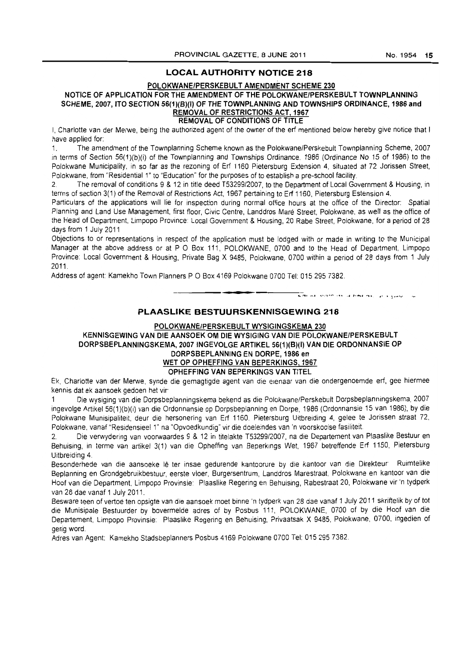# **LOCAL AUTHORITY NOTICE 218**

#### **POLOKWANE/PERSKEBULT AMENDMENT SCHEME 230**

# **NOTICE OF APPLICATION FOR THE AMENDMENT OF THE POLOKWANE/PERSKEBULT TOWNPlANNING**  SCHEME, 2007, ITO SECTION 56(1)(B)(I) OF THE TOWNPLANNING AND TOWNSHIPS ORDINANCE, 1986 and **REMOVAL OF RESTRICTIONS ACT. 1967**

**REMOVAL OF CONDITIONS OF TITLE** 

I, Charlotte van der Merwe, being the authorized agent of the owner of the erf mentioned below hereby give notice that I have applied for:

1. The amendment of the Townplanning Scheme known as the Polokwane/Perskebult Townplanning Scheme, 2007 in terms of Section 56(1)(b)(i) of the Townplanning and Townships Ordinance. 1986 (Ordinance No 15 of 1986) to the Polokwane Municipality, in so far as the rezoning of Erf 1160 Pietersburg Extension 4, situated at 72 Jorissen Street, Polokwane, from "Residential 1" to "Education" for the purposes of to establish a pre-school facility.

2. The removal of conditions 9 & 12 in title deed T53299/2007, to the Department of Local Government & Housing. in terms of section 3(1) of the Removal of Restrictions Act, 1967 pertaining to Erf 1160, Pietersburg Estension 4.

Particulars of the applications Will lie for inspection during normal office hours at the office of the Director: Spatial Planning and Land Use Management, first floor. Civic Centre, Landdros Mare Street, Polokwane, as well as the office of the Head of Department, Limpopo Province: Local Government & Housing, 20 Rabe Street, Polokwane, for a period of 28 days from 1 July 2011

Objections to or representations in respect of the application must be lodged with or made in writing to the Municipal Manager at the above address or at P O Box 111, POLOKWANE, 0700 and to the Head of Department, Limpopo Province: Local Government & Housing, Private Bag X 9485, Polokwane, 0700 within a period of 28 days from 1 July 2011.

Address of agent: Kamekho Town Planners P O Box 4169 Polokwane 0700 Tel: 015 295 7382.

#### **PLAASLIKE BESTUURSKENNISGEWING 218**

I **\_ I** 

#### **POLOKWANE/PERSKEBULT WYSIGINGSKEMA 230**

**KENNISGEWING VAN DIE AANSOEK OM DIE WYSIGING VAN DIE POlOKWANEfPERSKEBUlT**  DORPSBEPLANNINGSKEMA, 2007 INGEVOLGE ARTIKEL 56(1)(B)(I) VAN DIE ORDONNANSIE OP **DORPSBEPLANNING EN DORPE, 1986 en WET OP OPHEFFING VAN BEPERKINGS, 1967 OPHEFFING VAN BEPERKINGS VAN** TITEL

Ek, Charlotte van der Merwe, synde die gemagtigde agent van die elenaar van die ondergenoemde erf, gee hiermee kennis dat ek aansoek gedoen het vir

1 Die wysiging van die Dorpsbeplanningskema bekend as die Polokwane/Perskebult Dorpsbeplanningskema, 2007 ingevolge Artikel 56(1 )(b)(i) van die Ordonnansie op Dorpsbeplanning en Dorpe, 1986 (Ordonnansie 15 van 1986), by die Polokwane Munisipaliteit, deur die hersonering van Erf 1160. Pietersburg Uitbreiding 4, gelee te Jorissen straat 72, Polokwane, vanaf "ResidensieeI1" na "Opvoedkundig' vir die doeleindes van 'n voorskoolse fasiliteit

2. Die verwydering van voorwaardes 9 & 12 in titelakte T53299/2007, na die Departement van Plaaslike Bestuur en Behuising, in terme van artikel 3(1) van die Opheffing van 8eperkmgs Wet, 1967 betreffende Erf 1160, Pietersburg Uitbreiding 4.

Besonderhede van die aansoeke lê ter insae gedurende kantoorure by die kantoor van die Direkteur Ruimtelike 8eplanning en Grondgebruikbestuur, eerste vloer, Burgersentrum, Landdros Marestraat, Polokwane en kantoor van die Hoof van die Department, Limpopo Provinsie: Plaaslike Regering en Behuising, Rabestraat 20, Polokwane vir 'n Iydperk van 28 dae vanaf 1 July 2011.

Besware teen of vertoe ten opsigte van die aansoek moet binne 'n tydperk van 28 dae vanaf 1 July 2011 skriftelik by of tot die Munisipale Bestuurder by bovermelde adres of by Posbus 111, POLOKWANE, 0700 of by die Hoof van die Departement, Limpopo Provinsie: Plaaslike Regering en Behuising, Privaatsak X 9485, Polokwane, 0700, ingedien of gerig word.

Adres van Agent: Kamekho Stadsbeplanners Posbus 4169 Polokwane 0700 Tel: 0152957382.